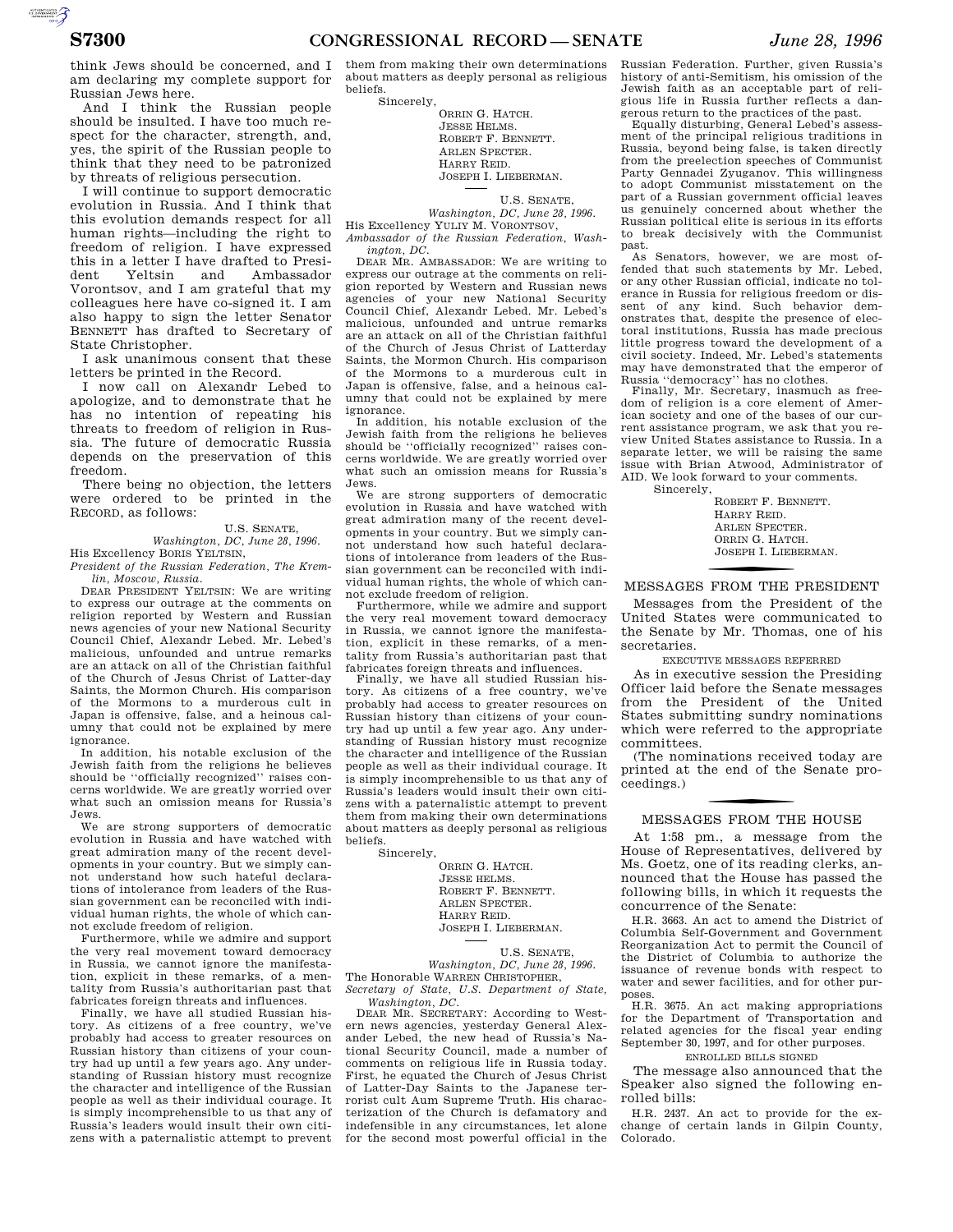think Jews should be concerned, and I am declaring my complete support for Russian Jews here.

And I think the Russian people should be insulted. I have too much respect for the character, strength, and, yes, the spirit of the Russian people to think that they need to be patronized by threats of religious persecution.

I will continue to support democratic evolution in Russia. And I think that this evolution demands respect for all human rights—including the right to freedom of religion. I have expressed this in a letter I have drafted to President Yeltsin and Ambassador Vorontsov, and I am grateful that my colleagues here have co-signed it. I am also happy to sign the letter Senator BENNETT has drafted to Secretary of State Christopher.

I ask unanimous consent that these letters be printed in the Record.

I now call on Alexandr Lebed to apologize, and to demonstrate that he has no intention of repeating his threats to freedom of religion in Russia. The future of democratic Russia depends on the preservation of this freedom.

There being no objection, the letters were ordered to be printed in the RECORD, as follows:

#### U.S. SENATE,

*Washington, DC, June 28, 1996.*  His Excellency BORIS YELTSIN,

*President of the Russian Federation, The Kremlin, Moscow, Russia.* 

DEAR PRESIDENT YELTSIN: We are writing to express our outrage at the comments on religion reported by Western and Russian news agencies of your new National Security Council Chief, Alexandr Lebed. Mr. Lebed's malicious, unfounded and untrue remarks are an attack on all of the Christian faithful of the Church of Jesus Christ of Latter-day Saints, the Mormon Church. His comparison of the Mormons to a murderous cult in Japan is offensive, false, and a heinous calumny that could not be explained by mere ignorance.

In addition, his notable exclusion of the Jewish faith from the religions he believes should be ''officially recognized'' raises concerns worldwide. We are greatly worried over what such an omission means for Russia's Jews.

We are strong supporters of democratic evolution in Russia and have watched with great admiration many of the recent developments in your country. But we simply cannot understand how such hateful declarations of intolerance from leaders of the Russian government can be reconciled with individual human rights, the whole of which cannot exclude freedom of religion.

Furthermore, while we admire and support the very real movement toward democracy in Russia, we cannot ignore the manifestation, explicit in these remarks, of a mentality from Russia's authoritarian past that fabricates foreign threats and influences.

Finally, we have all studied Russian history. As citizens of a free country, we've probably had access to greater resources on Russian history than citizens of your country had up until a few years ago. Any understanding of Russian history must recognize the character and intelligence of the Russian people as well as their individual courage. It is simply incomprehensible to us that any of Russia's leaders would insult their own citizens with a paternalistic attempt to prevent them from making their own determinations about matters as deeply personal as religious beliefs.

Sincerely,

ORRIN G. HATCH. JESSE HELMS. ROBERT F. BENNETT. ARLEN SPECTER. HARRY REID. JOSEPH I. LIEBERMAN.

U.S. SENATE, *Washington, DC, June 28, 1996.* 

His Excellency YULIY M. VORONTSOV, *Ambassador of the Russian Federation, Wash-*

*ington, DC.*  DEAR MR. AMBASSADOR: We are writing to express our outrage at the comments on religion reported by Western and Russian news agencies of your new National Security Council Chief, Alexandr Lebed. Mr. Lebed's malicious, unfounded and untrue remarks are an attack on all of the Christian faithful of the Church of Jesus Christ of Latterday Saints, the Mormon Church. His comparison of the Mormons to a murderous cult in Japan is offensive, false, and a heinous calumny that could not be explained by mere ignorance.

In addition, his notable exclusion of the Jewish faith from the religions he believes should be ''officially recognized'' raises concerns worldwide. We are greatly worried over what such an omission means for Russia's Jews.

We are strong supporters of democratic evolution in Russia and have watched with great admiration many of the recent developments in your country. But we simply cannot understand how such hateful declarations of intolerance from leaders of the Russian government can be reconciled with individual human rights, the whole of which cannot exclude freedom of religion.

Furthermore, while we admire and support the very real movement toward democracy in Russia, we cannot ignore the manifestation, explicit in these remarks, of a mentality from Russia's authoritarian past that fabricates foreign threats and influences.

Finally, we have all studied Russian history. As citizens of a free country, we've probably had access to greater resources on Russian history than citizens of your country had up until a few year ago. Any understanding of Russian history must recognize the character and intelligence of the Russian people as well as their individual courage. It is simply incomprehensible to us that any of Russia's leaders would insult their own citizens with a paternalistic attempt to prevent them from making their own determinations about matters as deeply personal as religious beliefs.

Sincerely,

ORRIN G. HATCH. JESSE HELMS. ROBERT F. BENNETT. ARLEN SPECTER. HARRY REID. JOSEPH I. LIEBERMAN.

U.S. SENATE,

*Washington, DC, June 28, 1996.*  The Honorable WARREN CHRISTOPHER, *Secretary of State, U.S. Department of State,* 

*Washington, DC.*  DEAR MR. SECRETARY: According to Western news agencies, yesterday General Alex-

ander Lebed, the new head of Russia's National Security Council, made a number of comments on religious life in Russia today. First, he equated the Church of Jesus Christ of Latter-Day Saints to the Japanese terrorist cult Aum Supreme Truth. His characterization of the Church is defamatory and indefensible in any circumstances, let alone for the second most powerful official in the Russian Federation. Further, given Russia's history of anti-Semitism, his omission of the Jewish faith as an acceptable part of religious life in Russia further reflects a dangerous return to the practices of the past.

Equally disturbing, General Lebed's assess-ment of the principal religious traditions in Russia, beyond being false, is taken directly from the preelection speeches of Communist Party Gennadei Zyuganov. This willingness to adopt Communist misstatement on the part of a Russian government official leaves us genuinely concerned about whether the Russian political elite is serious in its efforts to break decisively with the Communist past.

As Senators, however, we are most offended that such statements by Mr. Lebed, or any other Russian official, indicate no tolerance in Russia for religious freedom or dissent of any kind. Such behavior demonstrates that, despite the presence of electoral institutions, Russia has made precious little progress toward the development of a civil society. Indeed, Mr. Lebed's statements may have demonstrated that the emperor of Russia ''democracy'' has no clothes.

Finally, Mr. Secretary, inasmuch as freedom of religion is a core element of American society and one of the bases of our current assistance program, we ask that you review United States assistance to Russia. In a separate letter, we will be raising the same issue with Brian Atwood, Administrator of AID. We look forward to your comments. Sincerely,

ROBERT F. BENNETT. HARRY REID. ARLEN SPECTER. ORRIN G. HATCH. JOSEPH I. LIEBERMAN.

# f MESSAGES FROM THE PRESIDENT

Messages from the President of the United States were communicated to the Senate by Mr. Thomas, one of his secretaries.

EXECUTIVE MESSAGES REFERRED

As in executive session the Presiding Officer laid before the Senate messages from the President of the United States submitting sundry nominations which were referred to the appropriate committees.

(The nominations received today are printed at the end of the Senate proceedings.)

## f MESSAGES FROM THE HOUSE

At 1:58 pm., a message from the House of Representatives, delivered by Ms. Goetz, one of its reading clerks, announced that the House has passed the following bills, in which it requests the concurrence of the Senate:

H.R. 3663. An act to amend the District of Columbia Self-Government and Government Reorganization Act to permit the Council of the District of Columbia to authorize the issuance of revenue bonds with respect to water and sewer facilities, and for other purposes.

H.R. 3675. An act making appropriations for the Department of Transportation and related agencies for the fiscal year ending September 30, 1997, and for other purposes.

#### ENROLLED BILLS SIGNED

The message also announced that the Speaker also signed the following enrolled bills:

H.R. 2437. An act to provide for the exchange of certain lands in Gilpin County, Colorado.

AUTOROTOMICALE